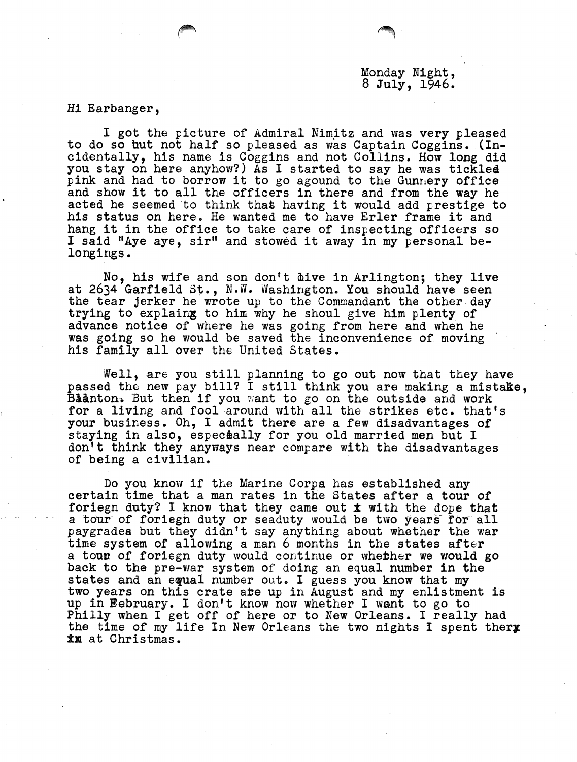## Monday Night, 8 July, 1946.

Hi Earbanger,

I got the picture of Admiral Nimitz and was very pleased to do so hut not half so pleased as was Captain Coggins. (Incidentally, his name is Coggins and not Collins. How long did you stay on here anyhow?) As I started to say he was tickled pink and had to borrow it to go agound to the Gunnery office and show it to all the officers in there and from the way he acted he seemed to think that having it would add prestige to his status on here. He wanted me to have Erler frame it and hang it in the office to take care of inspecting officers so I said "Aye aye, sir" and stowed it away in my personal be longings.

No, his wife and son don't dive in Arlington; they live at 2634 Garfield St., N.W. Washington. You should have seen the tear jerker he wrote up to the Commandant the other day trying to explaing to him why he shoul give him plenty of advance notice of where he was going from here and when he was going so he would be saved the inconvenience of moving his family all over the United States.

Well, are you still planning to go out now that they have passed the new pay bill? I still think you are making a mistake, Blanton. But then if you want to go on the outside and work for a living and fool around with all the strikes etc. that's your business. Oh, I admit there are a few disadvantages of staying in also, especially for you old married men but I don't think they anyways near compare with the disadvantages of being a civilian.

Do you know if the Marine Corpa has established any certain time that a man rates in the States after a tour of foriegn duty? I know that they came out ± with the dope **that** a tour of foriegn duty or seaduty would be two years for all paygradea but they didn't say anything about whether the war time system of allowing a man 6 months in the states after a tour of foriegn duty would continue or whether we would go back to the pre-war system of doing an equal number in the states and an equal number out. I guess you know that my two years on this crate **ate** up in August and my enlistment is up in February. I don't know now whether I want to go to Philly when I get off of here or to New Orleans. I really had the time of my life In New Orleans the two nights I spent thery ±bl at Christmas.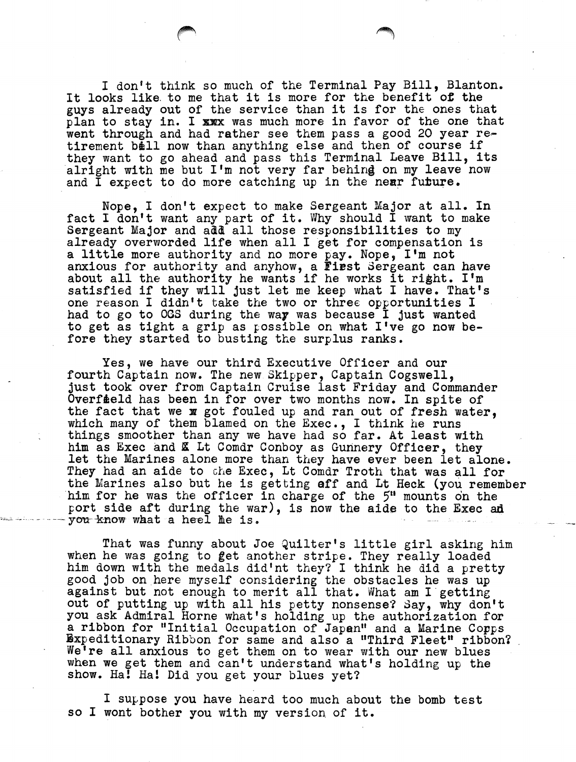I don't think so much of the Terminal Pay Bill, Blanton. It looks like to me that it is more for the benefit of the guys already out of the service than it is for the ones that plan to stay in. I xxx was much more in favor of the one that went through and had rather see them pass a good 20 year retirement ball now than anything else and then of course if they want to go ahead and pass this Terminal Leave Bill, its alright with me but I'm not very far behing on my leave now and I expect to do more catching up in the near future.

Nope, I don't expect to make Sergeant Major at all. In fact I don't want any part of it. Why should I want to make Sergeant Major and add all those responsibilities to my already overworded life when all I get for compensation is a little more authority and no more pay. Nope, I'm not anxious for authority and anyhow, a **First** Sergeant can have about all the authority he wants if he works it right. I'm satisfied if they will just let me keep what I have. That's one reason I didn't take the two or three opportunities I had to go to OGS during the way was because I just wanted to get as tight a grip as possible on what I've go now before they started to busting the surplus ranks.

Yes, we have our third Executive Officer and our fourth Captain now. The new Skipper, Captain Cogswell, just took over from Captain Cruise last Friday and Commander Overfield has been in for over two months now. In spite of the fact that we x got fouled up and ran out of fresh water, which many of them blamed on the Exec., I think he runs things smoother than any we have had so far. At least with him as Exec and **K** Lt Comdr Conboy as Gunnery Officer, they let the Marines alone more than they have ever been let alone. They had an aide to the Exec, Lt Comdr Troth that was all for<br>the Marines also but he is getting aff and Lt Heck (you remember him for he was the officer in charge of the 5" mounts on the port side aft during the war), is now the aide to the Exec ad you know what a heel he is.

That was funny about Joe Quilter's little girl asking him when he was going to get another stripe. They really loaded him down with the medals did'nt they? I think he did a pretty good job on here myself considering the obstacles he was up against but not enough to merit all that. What am I getting out of putting up with all his petty nonsense? Say, why don't you ask Admiral Horne what's holding up the authorization for a ribbon for "Initial Occupation of Japan" and a Marine Corps Expeditionary Ribbon for same and also a "Third Fleet" ribbon? We're all anxious to get them on to wear with our new blues when we get them and can't understand what's holding up the show. Ha! Ha! Did you get your blues yet?

I suppose you have heard too much about the bomb test so I wont bother you with my version of it.